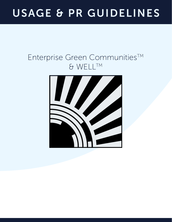# USAGE & PR GUIDELINES

### Enterprise Green Communities™ & WELLTM

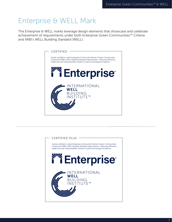### Enterprise & WELL Mark

The Enterprise & WELL marks leverage design elements that showcase and celebrate achievement of requirements under both Enterprise Green Communities™ Criteria and IWBI's WELL Building Standard (WELL).



#### **CERTIFIED PLUS**

Jointly certified to meet Enterprise Community Partner's Green Communities Criteria and IWBI's WELL Building Standard requirements- featuring efficiency, health and well-being benefits rooted in science and design excellence.

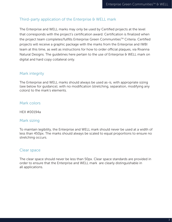### Third-party application of the Enterprise & WELL mark

The Enterprise and WELL marks may only be used by Certified projects at the level that corresponds with the project's certification award. Certification is finalized when the project team completes/fulfills Enterprise Green Communities™ Criteria. Certified projects will receive a graphic package with the marks from the Enterprise and IWBI team at this time, as well as instructions for how to order official plaques, via Rivanna Natural Designs. The quidelines here pertain to the use of Enterprise & WELL mark on digital and hard copy collateral only.

#### Mark integrity

The Enterprise and WELL marks should always be used as-is, with appropriate sizing (see below for guidance), with no modification (stretching, separation, modifying any colors) to the mark's elements.

#### Mark colors

HEX #00194a

#### Mark sizing

To maintain legibility, the Enterprise and WELL mark should never be used at a width of less than 450px. The marks should always be scaled to equal proportions to ensure no stretching occurs.

#### Clear space

The clear space should never be less than 50px. Clear space standards are provided in order to ensure that the Enterprise and WELL mark are clearly distinguishable in all applications.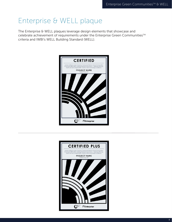### Enterprise & WELL plaque

The Enterprise & WELL plaques leverage design elements that showcase and celebrate achievement of requirements under the Enterprise Green Communities™ criteria and IWBI's WELL Building Standard (WELL).



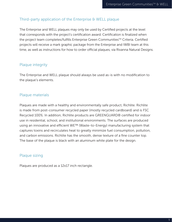### Third-party application of the Enterprise & WELL plaque

The Enterprise and WELL plaques may only be used by Certified projects at the level that corresponds with the project's certification award. Certification is finalized when the project team completes/fulfills Enterprise Green Communities™ Criteria. Certified projects will receive a mark graphic package from the Enterprise and IWBI team at this time, as well as instructions for how to order official plaques, via Rivanna Natural Designs.

### Plaque integrity

The Enterprise and WELL plaque should always be used as-is with no modification to the plaque's elements.

### Plaque materials

Plaques are made with a healthy and environmentally safe product, Richlite. Richlite is made from post-consumer recycled paper (mostly recycled cardboard) and is FSC Recycled 100%. In addition, Richlite products are GREENGUARD® certified for indoor use in residential, school, and institutional environments. The surfaces are produced using an innovative and efficient WE™ (Waste-to-Energy) manufacturing system that captures toxins and recirculates heat to greatly minimize fuel consumption, pollution, and carbon emissions. Richlite has the smooth, dense texture of a fine counter top. The base of the plaque is black with an aluminum white plate for the design.

### Plaque sizing

Plaques are produced as a 12x17 inch rectangle.